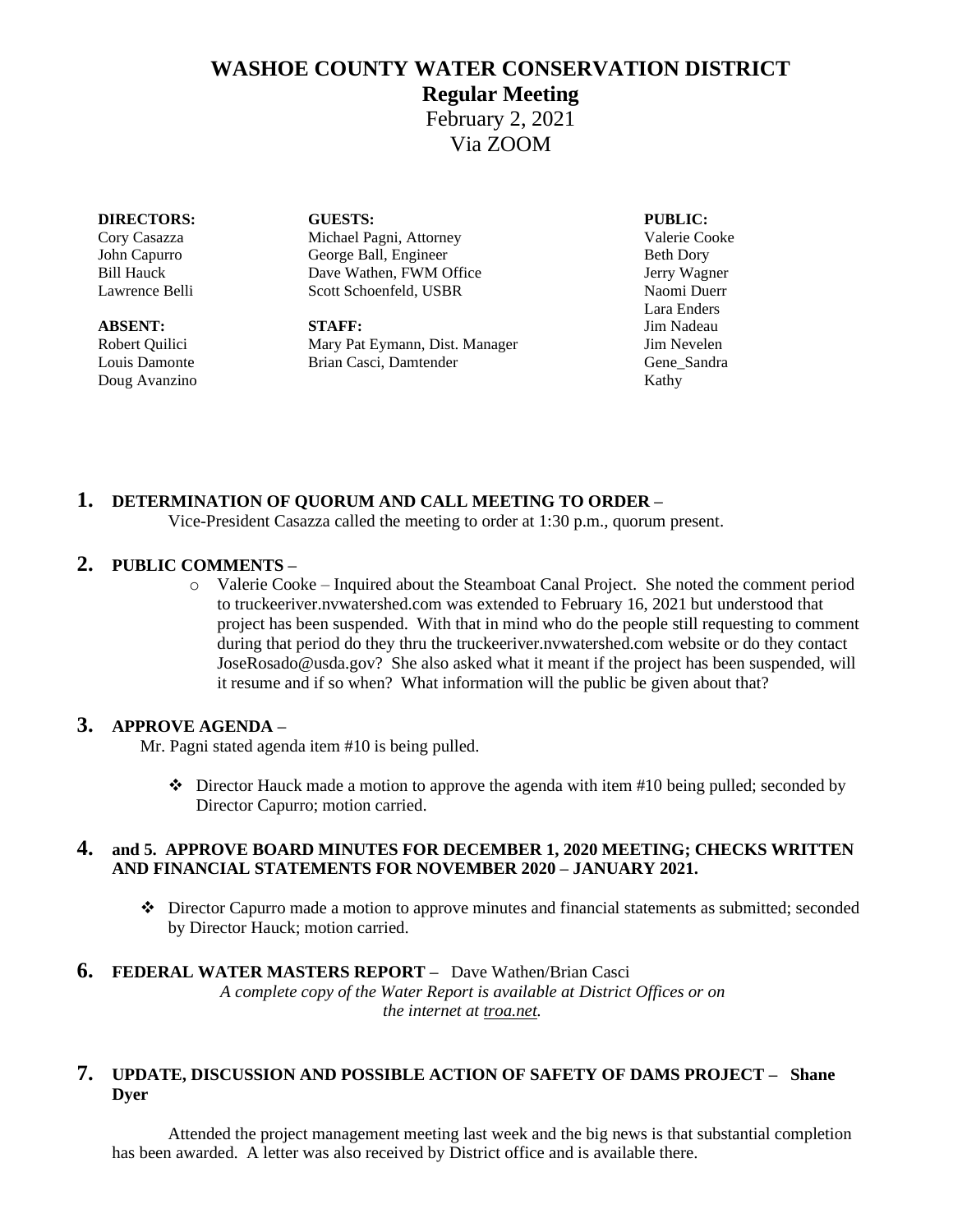# **WASHOE COUNTY WATER CONSERVATION DISTRICT**

## **Regular Meeting**

February 2, 2021 Via ZOOM

#### **DIRECTORS: GUESTS: PUBLIC:**

Doug Avanzino Kathy

Cory Casazza Michael Pagni, Attorney Valerie Cooke John Capurro George Ball, Engineer Beth Dory Bill Hauck Dave Wathen, FWM Office Jerry Wagner Lawrence Belli Scott Schoenfeld, USBR Naomi Duerr

**ABSENT: STAFF:** Jim Nadeau Robert Quilici Mary Pat Eymann, Dist. Manager Jim Nevelen Louis Damonte Brian Casci, Damtender Gene\_Sandra

Lara Enders

## **1. DETERMINATION OF QUORUM AND CALL MEETING TO ORDER –**

Vice-President Casazza called the meeting to order at 1:30 p.m., quorum present.

### **2. PUBLIC COMMENTS –**

o Valerie Cooke – Inquired about the Steamboat Canal Project. She noted the comment period to truckeeriver.nvwatershed.com was extended to February 16, 2021 but understood that project has been suspended. With that in mind who do the people still requesting to comment during that period do they thru the truckeeriver.nvwatershed.com website or do they contact JoseRosado@usda.gov? She also asked what it meant if the project has been suspended, will it resume and if so when? What information will the public be given about that?

### **3. APPROVE AGENDA –**

Mr. Pagni stated agenda item #10 is being pulled.

❖ Director Hauck made a motion to approve the agenda with item #10 being pulled; seconded by Director Capurro; motion carried.

#### **4. and 5. APPROVE BOARD MINUTES FOR DECEMBER 1, 2020 MEETING; CHECKS WRITTEN AND FINANCIAL STATEMENTS FOR NOVEMBER 2020 – JANUARY 2021.**

❖ Director Capurro made a motion to approve minutes and financial statements as submitted; seconded by Director Hauck; motion carried.

#### **6. FEDERAL WATER MASTERS REPORT –** Dave Wathen/Brian Casci *A complete copy of the Water Report is available at District Offices or on the internet at troa.net.*

## **7. UPDATE, DISCUSSION AND POSSIBLE ACTION OF SAFETY OF DAMS PROJECT – Shane Dyer**

Attended the project management meeting last week and the big news is that substantial completion has been awarded. A letter was also received by District office and is available there.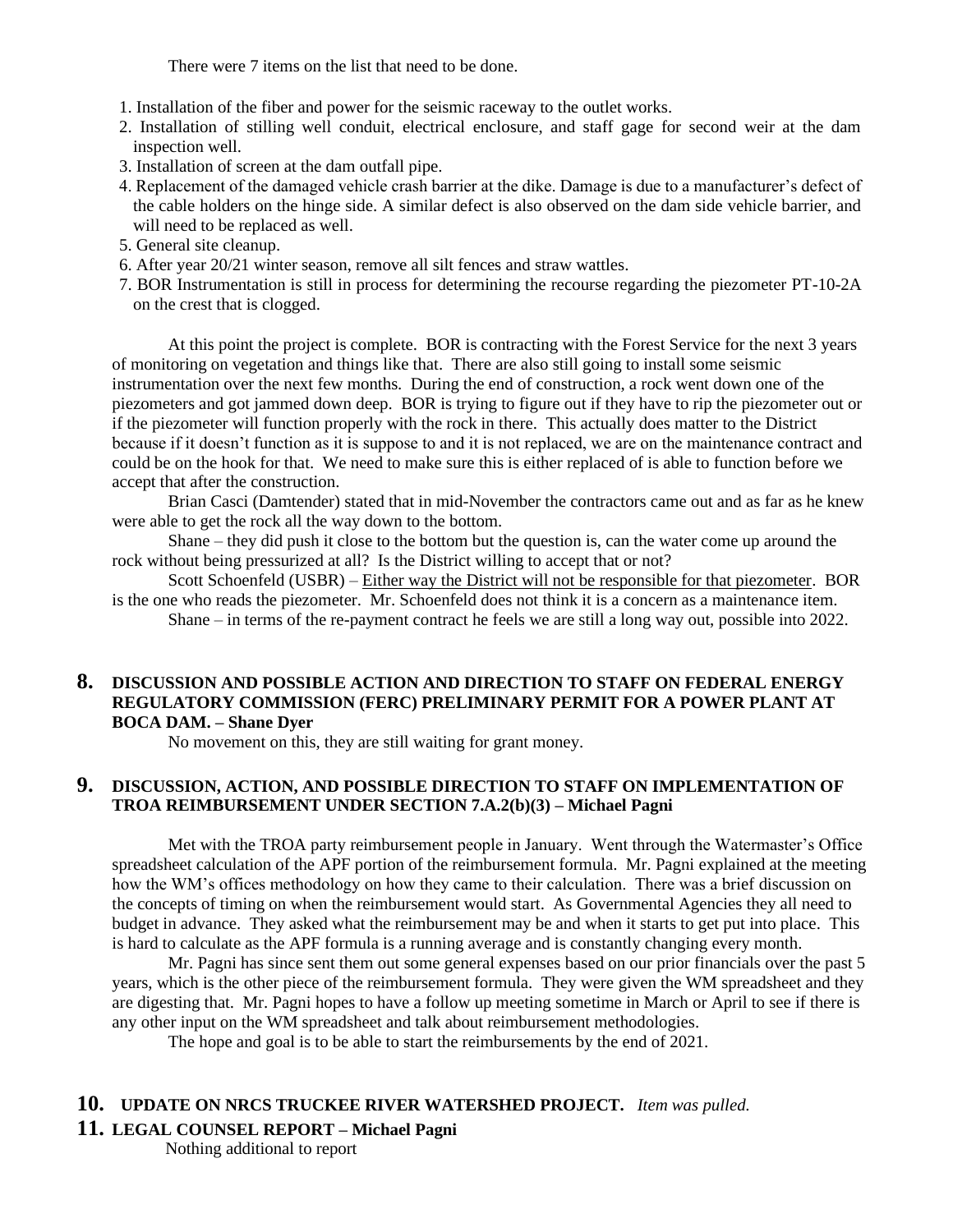There were 7 items on the list that need to be done.

- 1. Installation of the fiber and power for the seismic raceway to the outlet works.
- 2. Installation of stilling well conduit, electrical enclosure, and staff gage for second weir at the dam inspection well.
- 3. Installation of screen at the dam outfall pipe.
- 4. Replacement of the damaged vehicle crash barrier at the dike. Damage is due to a manufacturer's defect of the cable holders on the hinge side. A similar defect is also observed on the dam side vehicle barrier, and will need to be replaced as well.
- 5. General site cleanup.
- 6. After year 20/21 winter season, remove all silt fences and straw wattles.
- 7. BOR Instrumentation is still in process for determining the recourse regarding the piezometer PT-10-2A on the crest that is clogged.

At this point the project is complete. BOR is contracting with the Forest Service for the next 3 years of monitoring on vegetation and things like that. There are also still going to install some seismic instrumentation over the next few months. During the end of construction, a rock went down one of the piezometers and got jammed down deep. BOR is trying to figure out if they have to rip the piezometer out or if the piezometer will function properly with the rock in there. This actually does matter to the District because if it doesn't function as it is suppose to and it is not replaced, we are on the maintenance contract and could be on the hook for that. We need to make sure this is either replaced of is able to function before we accept that after the construction.

Brian Casci (Damtender) stated that in mid-November the contractors came out and as far as he knew were able to get the rock all the way down to the bottom.

Shane – they did push it close to the bottom but the question is, can the water come up around the rock without being pressurized at all? Is the District willing to accept that or not?

Scott Schoenfeld (USBR) – Either way the District will not be responsible for that piezometer. BOR is the one who reads the piezometer. Mr. Schoenfeld does not think it is a concern as a maintenance item. Shane – in terms of the re-payment contract he feels we are still a long way out, possible into 2022.

#### **8. DISCUSSION AND POSSIBLE ACTION AND DIRECTION TO STAFF ON FEDERAL ENERGY REGULATORY COMMISSION (FERC) PRELIMINARY PERMIT FOR A POWER PLANT AT BOCA DAM. – Shane Dyer**

No movement on this, they are still waiting for grant money.

#### **9. DISCUSSION, ACTION, AND POSSIBLE DIRECTION TO STAFF ON IMPLEMENTATION OF TROA REIMBURSEMENT UNDER SECTION 7.A.2(b)(3) – Michael Pagni**

Met with the TROA party reimbursement people in January. Went through the Watermaster's Office spreadsheet calculation of the APF portion of the reimbursement formula. Mr. Pagni explained at the meeting how the WM's offices methodology on how they came to their calculation. There was a brief discussion on the concepts of timing on when the reimbursement would start. As Governmental Agencies they all need to budget in advance. They asked what the reimbursement may be and when it starts to get put into place. This is hard to calculate as the APF formula is a running average and is constantly changing every month.

Mr. Pagni has since sent them out some general expenses based on our prior financials over the past 5 years, which is the other piece of the reimbursement formula. They were given the WM spreadsheet and they are digesting that. Mr. Pagni hopes to have a follow up meeting sometime in March or April to see if there is any other input on the WM spreadsheet and talk about reimbursement methodologies.

The hope and goal is to be able to start the reimbursements by the end of 2021.

#### **10. UPDATE ON NRCS TRUCKEE RIVER WATERSHED PROJECT.** *Item was pulled.*

#### **11. LEGAL COUNSEL REPORT – Michael Pagni**

Nothing additional to report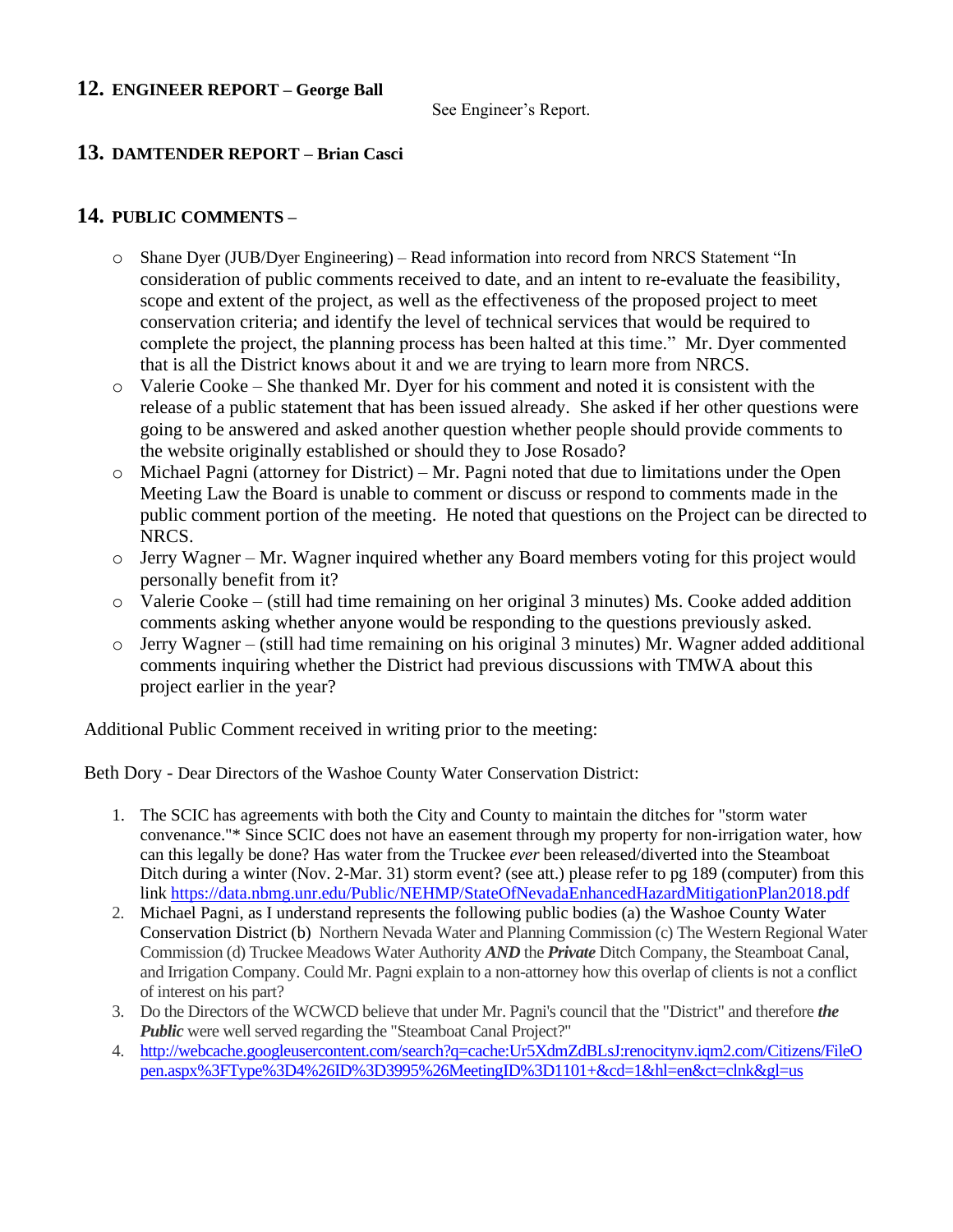## **12. ENGINEER REPORT – George Ball**

See Engineer's Report.

## **13. DAMTENDER REPORT – Brian Casci**

## **14. PUBLIC COMMENTS –**

- Shane Dyer (JUB/Dyer Engineering) Read information into record from NRCS Statement "In consideration of public comments received to date, and an intent to re-evaluate the feasibility, scope and extent of the project, as well as the effectiveness of the proposed project to meet conservation criteria; and identify the level of technical services that would be required to complete the project, the planning process has been halted at this time." Mr. Dyer commented that is all the District knows about it and we are trying to learn more from NRCS.
- o Valerie Cooke She thanked Mr. Dyer for his comment and noted it is consistent with the release of a public statement that has been issued already. She asked if her other questions were going to be answered and asked another question whether people should provide comments to the website originally established or should they to Jose Rosado?
- o Michael Pagni (attorney for District) Mr. Pagni noted that due to limitations under the Open Meeting Law the Board is unable to comment or discuss or respond to comments made in the public comment portion of the meeting. He noted that questions on the Project can be directed to NRCS.
- $\circ$  Jerry Wagner Mr. Wagner inquired whether any Board members voting for this project would personally benefit from it?
- $\circ$  Valerie Cooke (still had time remaining on her original 3 minutes) Ms. Cooke added addition comments asking whether anyone would be responding to the questions previously asked.
- o Jerry Wagner (still had time remaining on his original 3 minutes) Mr. Wagner added additional comments inquiring whether the District had previous discussions with TMWA about this project earlier in the year?

Additional Public Comment received in writing prior to the meeting:

Beth Dory - Dear Directors of the Washoe County Water Conservation District:

- 1. The SCIC has agreements with both the City and County to maintain the ditches for "storm water convenance."\* Since SCIC does not have an easement through my property for non-irrigation water, how can this legally be done? Has water from the Truckee *ever* been released/diverted into the Steamboat Ditch during a winter (Nov. 2-Mar. 31) storm event? (see att.) please refer to pg 189 (computer) from this link <https://data.nbmg.unr.edu/Public/NEHMP/StateOfNevadaEnhancedHazardMitigationPlan2018.pdf>
- 2. Michael Pagni, as I understand represents the following public bodies (a) the Washoe County Water Conservation District (b) Northern Nevada Water and Planning Commission (c) The Western Regional Water Commission (d) Truckee Meadows Water Authority *AND* the *Private* Ditch Company, the Steamboat Canal, and Irrigation Company. Could Mr. Pagni explain to a non-attorney how this overlap of clients is not a conflict of interest on his part?
- 3. Do the Directors of the WCWCD believe that under Mr. Pagni's council that the "District" and therefore *the Public* were well served regarding the "Steamboat Canal Project?"
- 4. [http://webcache.googleusercontent.com/search?q=cache:Ur5XdmZdBLsJ:renocitynv.iqm2.com/Citizens/FileO](http://webcache.googleusercontent.com/search?q=cache:Ur5XdmZdBLsJ:renocitynv.iqm2.com/Citizens/FileOpen.aspx%3FType%3D4%26ID%3D3995%26MeetingID%3D1101+&cd=1&hl=en&ct=clnk&gl=us) [pen.aspx%3FType%3D4%26ID%3D3995%26MeetingID%3D1101+&cd=1&hl=en&ct=clnk&gl=us](http://webcache.googleusercontent.com/search?q=cache:Ur5XdmZdBLsJ:renocitynv.iqm2.com/Citizens/FileOpen.aspx%3FType%3D4%26ID%3D3995%26MeetingID%3D1101+&cd=1&hl=en&ct=clnk&gl=us)